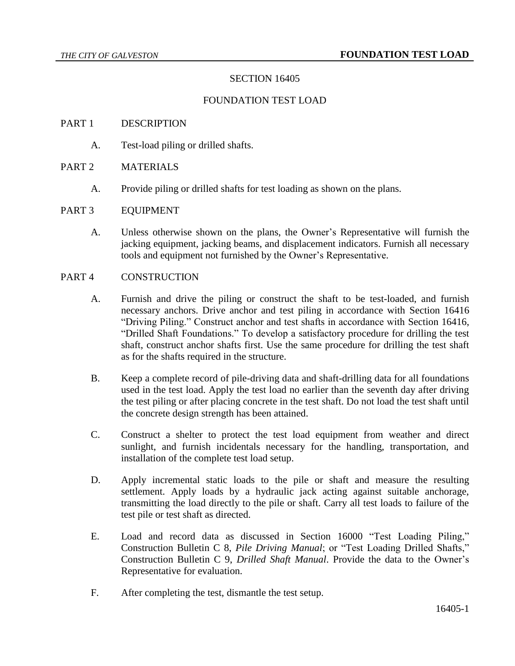## SECTION 16405

### FOUNDATION TEST LOAD

#### PART 1 DESCRIPTION

A. Test-load piling or drilled shafts.

## PART 2 MATERIALS

A. Provide piling or drilled shafts for test loading as shown on the plans.

#### PART 3 EQUIPMENT

A. Unless otherwise shown on the plans, the Owner's Representative will furnish the jacking equipment, jacking beams, and displacement indicators. Furnish all necessary tools and equipment not furnished by the Owner's Representative.

#### PART 4 CONSTRUCTION

- A. Furnish and drive the piling or construct the shaft to be test-loaded, and furnish necessary anchors. Drive anchor and test piling in accordance with Section 16416 "Driving Piling." Construct anchor and test shafts in accordance with Section 16416, "Drilled Shaft Foundations." To develop a satisfactory procedure for drilling the test shaft, construct anchor shafts first. Use the same procedure for drilling the test shaft as for the shafts required in the structure.
- B. Keep a complete record of pile-driving data and shaft-drilling data for all foundations used in the test load. Apply the test load no earlier than the seventh day after driving the test piling or after placing concrete in the test shaft. Do not load the test shaft until the concrete design strength has been attained.
- C. Construct a shelter to protect the test load equipment from weather and direct sunlight, and furnish incidentals necessary for the handling, transportation, and installation of the complete test load setup.
- D. Apply incremental static loads to the pile or shaft and measure the resulting settlement. Apply loads by a hydraulic jack acting against suitable anchorage, transmitting the load directly to the pile or shaft. Carry all test loads to failure of the test pile or test shaft as directed.
- E. Load and record data as discussed in Section 16000 "Test Loading Piling," Construction Bulletin C 8, *Pile Driving Manual*; or "Test Loading Drilled Shafts," Construction Bulletin C 9, *Drilled Shaft Manual*. Provide the data to the Owner's Representative for evaluation.
- F. After completing the test, dismantle the test setup.